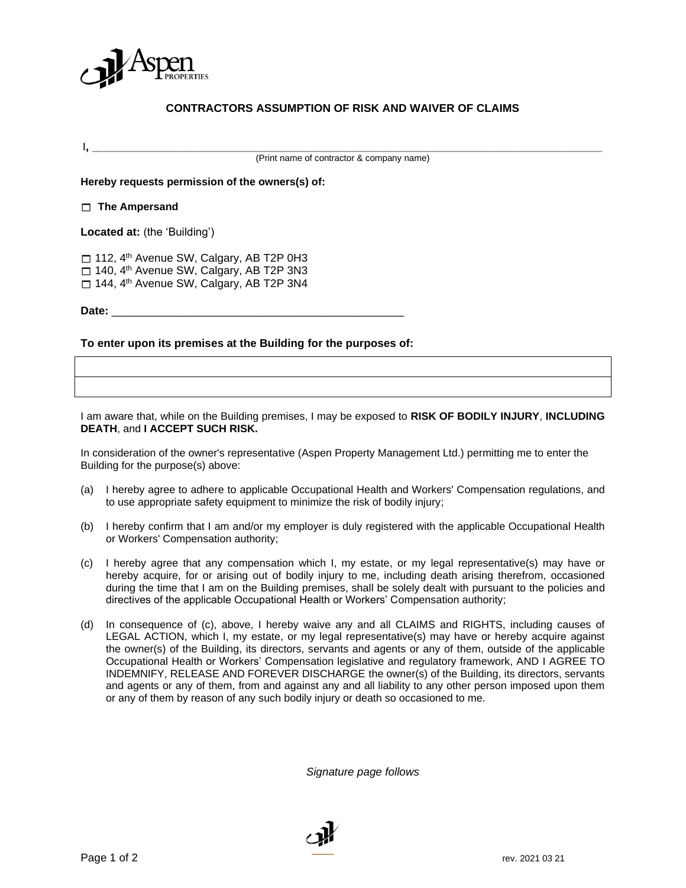

## **CONTRACTORS ASSUMPTION OF RISK AND WAIVER OF CLAIMS**

I**, \_\_\_\_\_\_\_\_\_\_\_\_\_\_\_\_\_\_\_\_\_\_\_\_\_\_\_\_\_\_\_\_\_\_\_\_\_\_\_\_\_\_\_\_\_\_\_\_\_\_\_\_\_\_\_\_\_\_\_\_\_\_\_\_\_\_\_\_\_\_\_\_\_\_\_\_\_\_\_\_\_\_**

(Print name of contractor & company name)

**Hereby requests permission of the owners(s) of:**

**The Ampersand** 

**Located at:** (the 'Building')

 $\Box$  112, 4<sup>th</sup> Avenue SW, Calgary, AB T2P 0H3 □ 140, 4<sup>th</sup> Avenue SW, Calgary, AB T2P 3N3 □ 144, 4<sup>th</sup> Avenue SW, Calgary, AB T2P 3N4

**Date:** \_\_\_\_\_\_\_\_\_\_\_\_\_\_\_\_\_\_\_\_\_\_\_\_\_\_\_\_\_\_\_\_\_\_\_\_\_\_\_\_\_\_\_\_\_\_\_

**To enter upon its premises at the Building for the purposes of:**

I am aware that, while on the Building premises, I may be exposed to **RISK OF BODILY INJURY**, **INCLUDING DEATH**, and **I ACCEPT SUCH RISK.**

In consideration of the owner's representative (Aspen Property Management Ltd.) permitting me to enter the Building for the purpose(s) above:

- (a) I hereby agree to adhere to applicable Occupational Health and Workers' Compensation regulations, and to use appropriate safety equipment to minimize the risk of bodily injury;
- (b) I hereby confirm that I am and/or my employer is duly registered with the applicable Occupational Health or Workers' Compensation authority;
- (c) I hereby agree that any compensation which I, my estate, or my legal representative(s) may have or hereby acquire, for or arising out of bodily injury to me, including death arising therefrom, occasioned during the time that I am on the Building premises, shall be solely dealt with pursuant to the policies and directives of the applicable Occupational Health or Workers' Compensation authority;
- (d) In consequence of (c), above, I hereby waive any and all CLAIMS and RIGHTS, including causes of LEGAL ACTION, which I, my estate, or my legal representative(s) may have or hereby acquire against the owner(s) of the Building, its directors, servants and agents or any of them, outside of the applicable Occupational Health or Workers' Compensation legislative and regulatory framework, AND I AGREE TO INDEMNIFY, RELEASE AND FOREVER DISCHARGE the owner(s) of the Building, its directors, servants and agents or any of them, from and against any and all liability to any other person imposed upon them or any of them by reason of any such bodily injury or death so occasioned to me.

*Signature page follows*